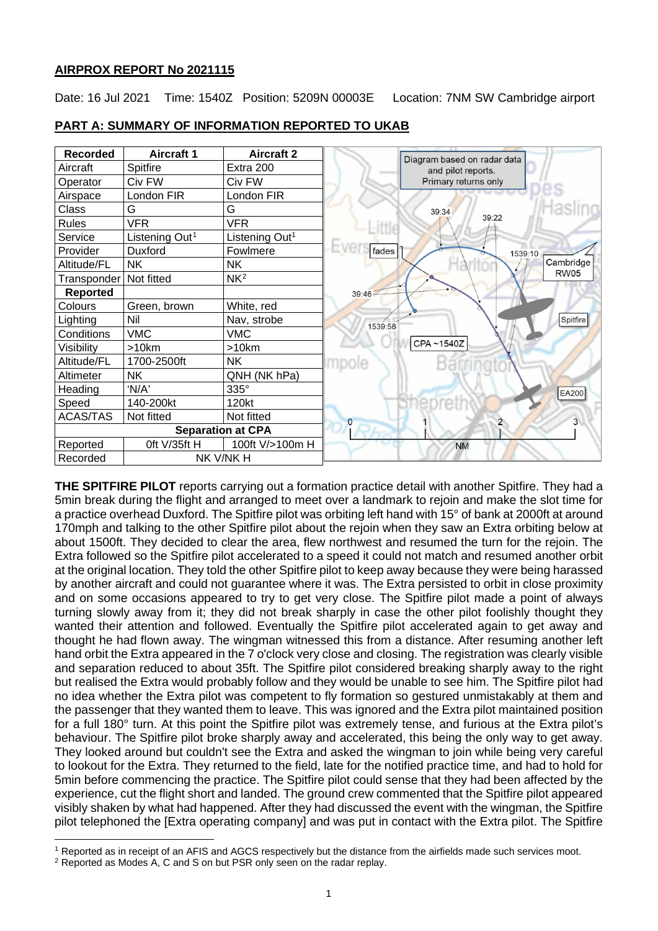# **AIRPROX REPORT No 2021115**

Date: 16 Jul 2021 Time: 1540Z Position: 5209N 00003E Location: 7NM SW Cambridge airport



## **PART A: SUMMARY OF INFORMATION REPORTED TO UKAB**

**THE SPITFIRE PILOT** reports carrying out a formation practice detail with another Spitfire. They had a 5min break during the flight and arranged to meet over a landmark to rejoin and make the slot time for a practice overhead Duxford. The Spitfire pilot was orbiting left hand with 15° of bank at 2000ft at around 170mph and talking to the other Spitfire pilot about the rejoin when they saw an Extra orbiting below at about 1500ft. They decided to clear the area, flew northwest and resumed the turn for the rejoin. The Extra followed so the Spitfire pilot accelerated to a speed it could not match and resumed another orbit at the original location. They told the other Spitfire pilot to keep away because they were being harassed by another aircraft and could not guarantee where it was. The Extra persisted to orbit in close proximity and on some occasions appeared to try to get very close. The Spitfire pilot made a point of always turning slowly away from it; they did not break sharply in case the other pilot foolishly thought they wanted their attention and followed. Eventually the Spitfire pilot accelerated again to get away and thought he had flown away. The wingman witnessed this from a distance. After resuming another left hand orbit the Extra appeared in the 7 o'clock very close and closing. The registration was clearly visible and separation reduced to about 35ft. The Spitfire pilot considered breaking sharply away to the right but realised the Extra would probably follow and they would be unable to see him. The Spitfire pilot had no idea whether the Extra pilot was competent to fly formation so gestured unmistakably at them and the passenger that they wanted them to leave. This was ignored and the Extra pilot maintained position for a full 180° turn. At this point the Spitfire pilot was extremely tense, and furious at the Extra pilot's behaviour. The Spitfire pilot broke sharply away and accelerated, this being the only way to get away. They looked around but couldn't see the Extra and asked the wingman to join while being very careful to lookout for the Extra. They returned to the field, late for the notified practice time, and had to hold for 5min before commencing the practice. The Spitfire pilot could sense that they had been affected by the experience, cut the flight short and landed. The ground crew commented that the Spitfire pilot appeared visibly shaken by what had happened. After they had discussed the event with the wingman, the Spitfire pilot telephoned the [Extra operating company] and was put in contact with the Extra pilot. The Spitfire

<span id="page-0-0"></span><sup>1</sup> Reported as in receipt of an AFIS and AGCS respectively but the distance from the airfields made such services moot.

<span id="page-0-1"></span><sup>2</sup> Reported as Modes A, C and S on but PSR only seen on the radar replay.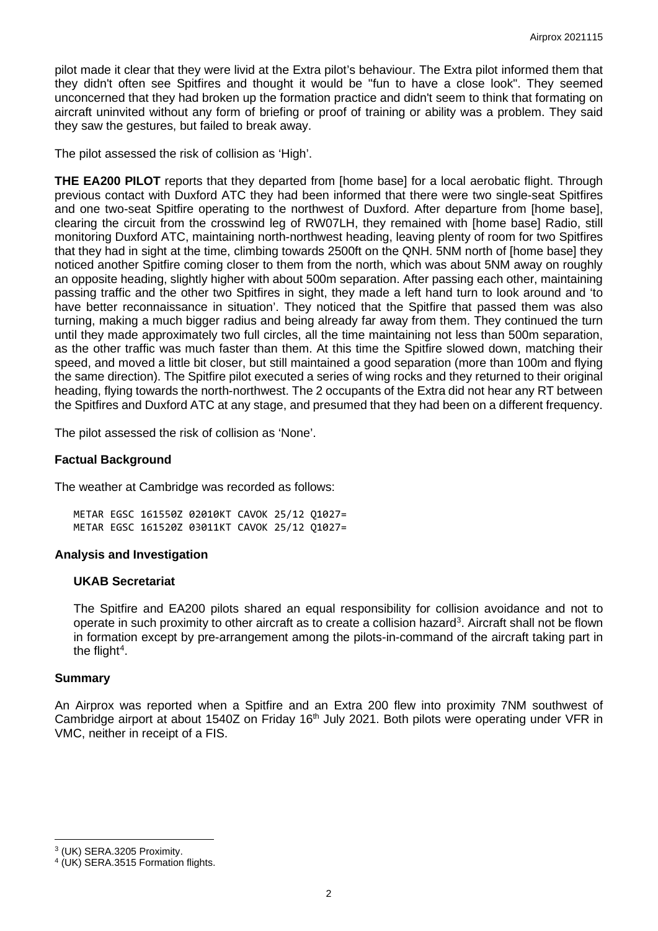pilot made it clear that they were livid at the Extra pilot's behaviour. The Extra pilot informed them that they didn't often see Spitfires and thought it would be "fun to have a close look". They seemed unconcerned that they had broken up the formation practice and didn't seem to think that formating on aircraft uninvited without any form of briefing or proof of training or ability was a problem. They said they saw the gestures, but failed to break away.

The pilot assessed the risk of collision as 'High'.

**THE EA200 PILOT** reports that they departed from [home base] for a local aerobatic flight. Through previous contact with Duxford ATC they had been informed that there were two single-seat Spitfires and one two-seat Spitfire operating to the northwest of Duxford. After departure from [home base], clearing the circuit from the crosswind leg of RW07LH, they remained with [home base] Radio, still monitoring Duxford ATC, maintaining north-northwest heading, leaving plenty of room for two Spitfires that they had in sight at the time, climbing towards 2500ft on the QNH. 5NM north of [home base] they noticed another Spitfire coming closer to them from the north, which was about 5NM away on roughly an opposite heading, slightly higher with about 500m separation. After passing each other, maintaining passing traffic and the other two Spitfires in sight, they made a left hand turn to look around and 'to have better reconnaissance in situation'. They noticed that the Spitfire that passed them was also turning, making a much bigger radius and being already far away from them. They continued the turn until they made approximately two full circles, all the time maintaining not less than 500m separation, as the other traffic was much faster than them. At this time the Spitfire slowed down, matching their speed, and moved a little bit closer, but still maintained a good separation (more than 100m and flying the same direction). The Spitfire pilot executed a series of wing rocks and they returned to their original heading, flying towards the north-northwest. The 2 occupants of the Extra did not hear any RT between the Spitfires and Duxford ATC at any stage, and presumed that they had been on a different frequency.

The pilot assessed the risk of collision as 'None'.

### **Factual Background**

The weather at Cambridge was recorded as follows:

METAR EGSC 161550Z 02010KT CAVOK 25/12 Q1027= METAR EGSC 161520Z 03011KT CAVOK 25/12 Q1027=

## **Analysis and Investigation**

### **UKAB Secretariat**

The Spitfire and EA200 pilots shared an equal responsibility for collision avoidance and not to operate in such proximity to other aircraft as to create a collision hazard<sup>[3](#page-1-0)</sup>. Aircraft shall not be flown in formation except by pre-arrangement among the pilots-in-command of the aircraft taking part in the flight<sup>[4](#page-1-1)</sup>.

### **Summary**

An Airprox was reported when a Spitfire and an Extra 200 flew into proximity 7NM southwest of Cambridge airport at about 1540Z on Friday 16<sup>th</sup> July 2021. Both pilots were operating under VFR in VMC, neither in receipt of a FIS.

<span id="page-1-0"></span><sup>3</sup> (UK) SERA.3205 Proximity.

<span id="page-1-1"></span><sup>4</sup> (UK) SERA.3515 Formation flights.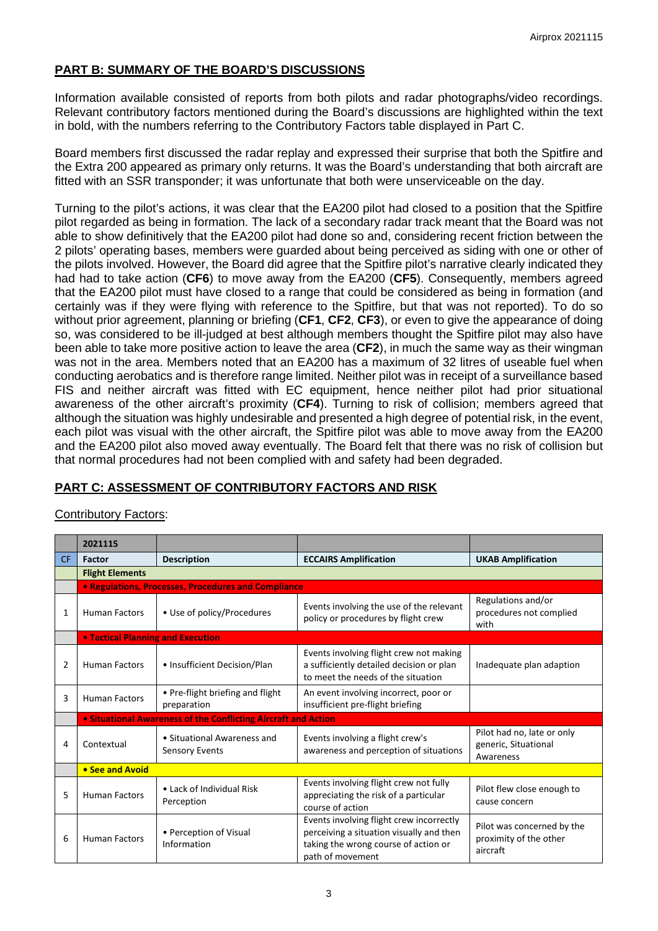# **PART B: SUMMARY OF THE BOARD'S DISCUSSIONS**

Information available consisted of reports from both pilots and radar photographs/video recordings. Relevant contributory factors mentioned during the Board's discussions are highlighted within the text in bold, with the numbers referring to the Contributory Factors table displayed in Part C.

Board members first discussed the radar replay and expressed their surprise that both the Spitfire and the Extra 200 appeared as primary only returns. It was the Board's understanding that both aircraft are fitted with an SSR transponder; it was unfortunate that both were unserviceable on the day.

Turning to the pilot's actions, it was clear that the EA200 pilot had closed to a position that the Spitfire pilot regarded as being in formation. The lack of a secondary radar track meant that the Board was not able to show definitively that the EA200 pilot had done so and, considering recent friction between the 2 pilots' operating bases, members were guarded about being perceived as siding with one or other of the pilots involved. However, the Board did agree that the Spitfire pilot's narrative clearly indicated they had had to take action (**CF6**) to move away from the EA200 (**CF5**). Consequently, members agreed that the EA200 pilot must have closed to a range that could be considered as being in formation (and certainly was if they were flying with reference to the Spitfire, but that was not reported). To do so without prior agreement, planning or briefing (**CF1**, **CF2**, **CF3**), or even to give the appearance of doing so, was considered to be ill-judged at best although members thought the Spitfire pilot may also have been able to take more positive action to leave the area (**CF2**), in much the same way as their wingman was not in the area. Members noted that an EA200 has a maximum of 32 litres of useable fuel when conducting aerobatics and is therefore range limited. Neither pilot was in receipt of a surveillance based FIS and neither aircraft was fitted with EC equipment, hence neither pilot had prior situational awareness of the other aircraft's proximity (**CF4**). Turning to risk of collision; members agreed that although the situation was highly undesirable and presented a high degree of potential risk, in the event, each pilot was visual with the other aircraft, the Spitfire pilot was able to move away from the EA200 and the EA200 pilot also moved away eventually. The Board felt that there was no risk of collision but that normal procedures had not been complied with and safety had been degraded.

# **PART C: ASSESSMENT OF CONTRIBUTORY FACTORS AND RISK**

|                | onunuutonyin autoro.              |                                                                       |                                                                                                                                                  |                                                                  |  |  |  |  |  |  |
|----------------|-----------------------------------|-----------------------------------------------------------------------|--------------------------------------------------------------------------------------------------------------------------------------------------|------------------------------------------------------------------|--|--|--|--|--|--|
|                | 2021115                           |                                                                       |                                                                                                                                                  |                                                                  |  |  |  |  |  |  |
| <b>CF</b>      | <b>Factor</b>                     | <b>Description</b>                                                    | <b>ECCAIRS Amplification</b>                                                                                                                     |                                                                  |  |  |  |  |  |  |
|                | <b>Flight Elements</b>            |                                                                       |                                                                                                                                                  |                                                                  |  |  |  |  |  |  |
|                |                                   | • Regulations, Processes, Procedures and Compliance                   |                                                                                                                                                  |                                                                  |  |  |  |  |  |  |
| 1              | <b>Human Factors</b>              | • Use of policy/Procedures                                            | Events involving the use of the relevant<br>policy or procedures by flight crew                                                                  | Regulations and/or<br>procedures not complied<br>with            |  |  |  |  |  |  |
|                | • Tactical Planning and Execution |                                                                       |                                                                                                                                                  |                                                                  |  |  |  |  |  |  |
| $\overline{2}$ | <b>Human Factors</b>              | • Insufficient Decision/Plan                                          | Events involving flight crew not making<br>a sufficiently detailed decision or plan<br>to meet the needs of the situation                        | Inadequate plan adaption                                         |  |  |  |  |  |  |
| 3              | <b>Human Factors</b>              | • Pre-flight briefing and flight<br>preparation                       | An event involving incorrect, poor or<br>insufficient pre-flight briefing                                                                        |                                                                  |  |  |  |  |  |  |
|                |                                   | <b>• Situational Awareness of the Conflicting Aircraft and Action</b> |                                                                                                                                                  |                                                                  |  |  |  |  |  |  |
| 4              | Contextual                        | • Situational Awareness and<br><b>Sensory Events</b>                  | Events involving a flight crew's<br>awareness and perception of situations                                                                       | Pilot had no, late or only<br>generic, Situational<br>Awareness  |  |  |  |  |  |  |
|                | • See and Avoid                   |                                                                       |                                                                                                                                                  |                                                                  |  |  |  |  |  |  |
| 5              | <b>Human Factors</b>              | • Lack of Individual Risk<br>Perception                               | Events involving flight crew not fully<br>appreciating the risk of a particular<br>course of action                                              | Pilot flew close enough to<br>cause concern                      |  |  |  |  |  |  |
| 6              | <b>Human Factors</b>              | • Perception of Visual<br>Information                                 | Events involving flight crew incorrectly<br>perceiving a situation visually and then<br>taking the wrong course of action or<br>path of movement | Pilot was concerned by the<br>proximity of the other<br>aircraft |  |  |  |  |  |  |
|                |                                   |                                                                       |                                                                                                                                                  |                                                                  |  |  |  |  |  |  |

# Contributory Factors: